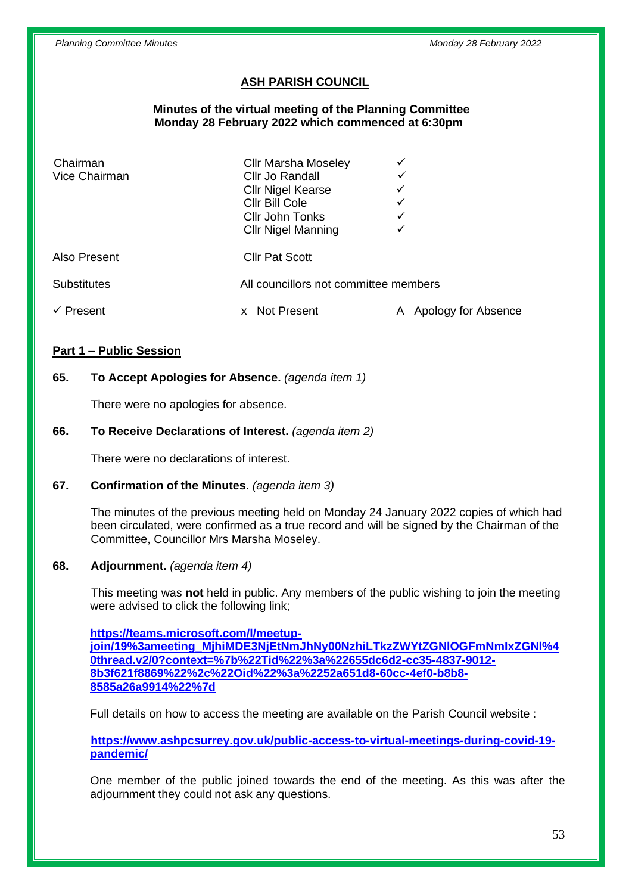# **ASH PARISH COUNCIL**

 **Minutes of the virtual meeting of the Planning Committee Monday 28 February 2022 which commenced at 6:30pm**

| Chairman<br>Vice Chairman          | <b>Cllr Marsha Moseley</b><br>Cllr Jo Randall<br><b>Cllr Nigel Kearse</b><br>Cllr Bill Cole<br>Cllr John Tonks | ✓                        |
|------------------------------------|----------------------------------------------------------------------------------------------------------------|--------------------------|
| Also Present<br><b>Substitutes</b> | <b>CIIr Nigel Manning</b><br><b>Cllr Pat Scott</b><br>All councillors not committee members                    |                          |
| $\checkmark$ Present               | <b>Not Present</b><br>$\mathsf{x}$                                                                             | Apology for Absence<br>A |

#### **Part 1 – Public Session**

#### **65. To Accept Apologies for Absence.** *(agenda item 1)*

There were no apologies for absence.

#### **66. To Receive Declarations of Interest.** *(agenda item 2)*

There were no declarations of interest.

#### **67. Confirmation of the Minutes.** *(agenda item 3)*

The minutes of the previous meeting held on Monday 24 January 2022 copies of which had been circulated, were confirmed as a true record and will be signed by the Chairman of the Committee, Councillor Mrs Marsha Moseley.

#### **68. Adjournment.** *(agenda item 4)*

This meeting was **not** held in public. Any members of the public wishing to join the meeting were advised to click the following link;

**[https://teams.microsoft.com/l/meetup](https://teams.microsoft.com/l/meetup-join/19%3ameeting_MjhiMDE3NjEtNmJhNy00NzhiLTkzZWYtZGNlOGFmNmIxZGNl%40thread.v2/0?context=%7b%22Tid%22%3a%22655dc6d2-cc35-4837-9012-8b3f621f8869%22%2c%22Oid%22%3a%2252a651d8-60cc-4ef0-b8b8-8585a26a9914%22%7d)[join/19%3ameeting\\_MjhiMDE3NjEtNmJhNy00NzhiLTkzZWYtZGNlOGFmNmIxZGNl%4](https://teams.microsoft.com/l/meetup-join/19%3ameeting_MjhiMDE3NjEtNmJhNy00NzhiLTkzZWYtZGNlOGFmNmIxZGNl%40thread.v2/0?context=%7b%22Tid%22%3a%22655dc6d2-cc35-4837-9012-8b3f621f8869%22%2c%22Oid%22%3a%2252a651d8-60cc-4ef0-b8b8-8585a26a9914%22%7d) [0thread.v2/0?context=%7b%22Tid%22%3a%22655dc6d2-cc35-4837-9012-](https://teams.microsoft.com/l/meetup-join/19%3ameeting_MjhiMDE3NjEtNmJhNy00NzhiLTkzZWYtZGNlOGFmNmIxZGNl%40thread.v2/0?context=%7b%22Tid%22%3a%22655dc6d2-cc35-4837-9012-8b3f621f8869%22%2c%22Oid%22%3a%2252a651d8-60cc-4ef0-b8b8-8585a26a9914%22%7d) [8b3f621f8869%22%2c%22Oid%22%3a%2252a651d8-60cc-4ef0-b8b8-](https://teams.microsoft.com/l/meetup-join/19%3ameeting_MjhiMDE3NjEtNmJhNy00NzhiLTkzZWYtZGNlOGFmNmIxZGNl%40thread.v2/0?context=%7b%22Tid%22%3a%22655dc6d2-cc35-4837-9012-8b3f621f8869%22%2c%22Oid%22%3a%2252a651d8-60cc-4ef0-b8b8-8585a26a9914%22%7d) [8585a26a9914%22%7d](https://teams.microsoft.com/l/meetup-join/19%3ameeting_MjhiMDE3NjEtNmJhNy00NzhiLTkzZWYtZGNlOGFmNmIxZGNl%40thread.v2/0?context=%7b%22Tid%22%3a%22655dc6d2-cc35-4837-9012-8b3f621f8869%22%2c%22Oid%22%3a%2252a651d8-60cc-4ef0-b8b8-8585a26a9914%22%7d)**

Full details on how to access the meeting are available on the Parish Council website :

**[https://www.ashpcsurrey.gov.uk/public-access-to-virtual-meetings-during-covid-19](https://www.ashpcsurrey.gov.uk/public-access-to-virtual-meetings-during-covid-19-pandemic/) [pandemic/](https://www.ashpcsurrey.gov.uk/public-access-to-virtual-meetings-during-covid-19-pandemic/)**

One member of the public joined towards the end of the meeting. As this was after the adjournment they could not ask any questions.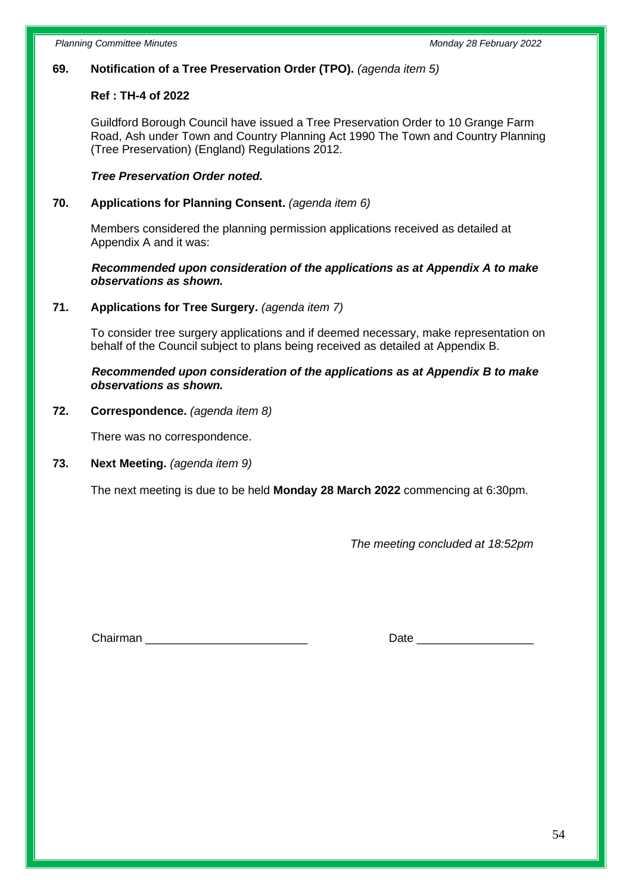# **69. Notification of a Tree Preservation Order (TPO).** *(agenda item 5)*

# **Ref : TH-4 of 2022**

Guildford Borough Council have issued a Tree Preservation Order to 10 Grange Farm Road, Ash under Town and Country Planning Act 1990 The Town and Country Planning (Tree Preservation) (England) Regulations 2012.

# *Tree Preservation Order noted.*

## **70. Applications for Planning Consent.** *(agenda item 6)*

Members considered the planning permission applications received as detailed at Appendix A and it was:

## *Recommended upon consideration of the applications as at Appendix A to make observations as shown.*

### **71. Applications for Tree Surgery.** *(agenda item 7)*

To consider tree surgery applications and if deemed necessary, make representation on behalf of the Council subject to plans being received as detailed at Appendix B.

### *Recommended upon consideration of the applications as at Appendix B to make observations as shown.*

### **72. Correspondence.** *(agenda item 8)*

There was no correspondence.

# **73. Next Meeting.** *(agenda item 9)*

The next meeting is due to be held **Monday 28 March 2022** commencing at 6:30pm.

*The meeting concluded at 18:52pm*

Chairman \_\_\_\_\_\_\_\_\_\_\_\_\_\_\_\_\_\_\_\_\_\_\_\_\_ Date \_\_\_\_\_\_\_\_\_\_\_\_\_\_\_\_\_\_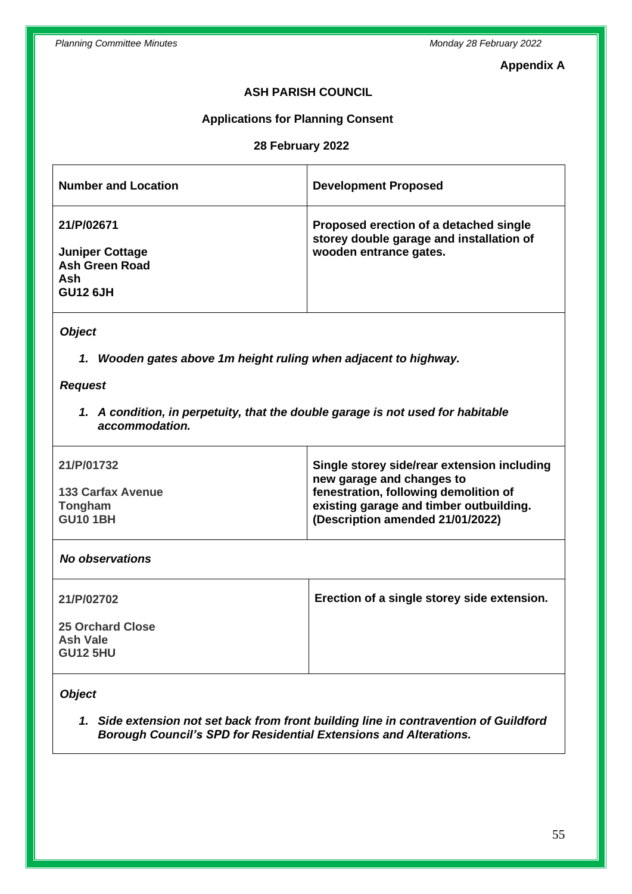# **Appendix A**

# **ASH PARISH COUNCIL**

# **Applications for Planning Consent**

# **28 February 2022**

| <b>Number and Location</b>                                                                        | <b>Development Proposed</b>                                                                                  |  |
|---------------------------------------------------------------------------------------------------|--------------------------------------------------------------------------------------------------------------|--|
| 21/P/02671<br><b>Juniper Cottage</b><br><b>Ash Green Road</b><br>Ash<br><b>GU12 6JH</b>           | Proposed erection of a detached single<br>storey double garage and installation of<br>wooden entrance gates. |  |
| <b>Object</b>                                                                                     |                                                                                                              |  |
| 1. Wooden gates above 1m height ruling when adjacent to highway.                                  |                                                                                                              |  |
| <b>Request</b>                                                                                    |                                                                                                              |  |
| 1. A condition, in perpetuity, that the double garage is not used for habitable<br>accommodation. |                                                                                                              |  |
| 21/P/01732                                                                                        | Single storey side/rear extension including<br>new garage and changes to                                     |  |
| <b>133 Carfax Avenue</b>                                                                          | fenestration, following demolition of                                                                        |  |
| Tongham                                                                                           | existing garage and timber outbuilding.                                                                      |  |
| <b>GU10 1BH</b>                                                                                   | (Description amended 21/01/2022)                                                                             |  |
| <b>No observations</b>                                                                            |                                                                                                              |  |
| 21/P/02702                                                                                        | Erection of a single storey side extension.                                                                  |  |
| <b>25 Orchard Close</b>                                                                           |                                                                                                              |  |
| <b>Ash Vale</b>                                                                                   |                                                                                                              |  |
| <b>GU12 5HU</b>                                                                                   |                                                                                                              |  |
| <b>Object</b>                                                                                     |                                                                                                              |  |

*1. Side extension not set back from front building line in contravention of Guildford Borough Council's SPD for Residential Extensions and Alterations.*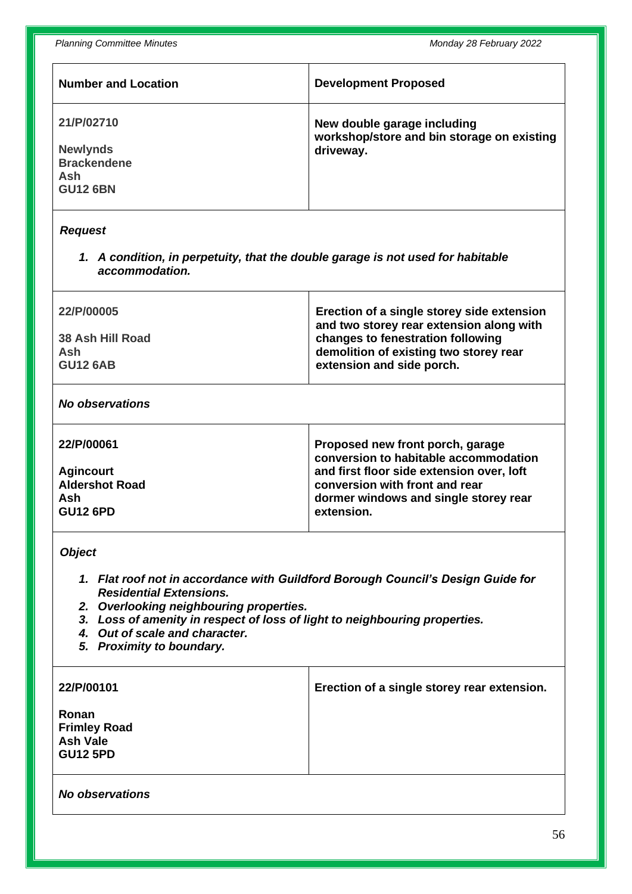*Planning Committee Minutes Monday 28 February 2022*

| <b>Number and Location</b>                                                                                                                                                                                                                                                                                                  | <b>Development Proposed</b>                                                                                                                                                                                     |  |
|-----------------------------------------------------------------------------------------------------------------------------------------------------------------------------------------------------------------------------------------------------------------------------------------------------------------------------|-----------------------------------------------------------------------------------------------------------------------------------------------------------------------------------------------------------------|--|
| 21/P/02710<br><b>Newlynds</b><br><b>Brackendene</b><br>Ash<br><b>GU12 6BN</b>                                                                                                                                                                                                                                               | New double garage including<br>workshop/store and bin storage on existing<br>driveway.                                                                                                                          |  |
| <b>Request</b>                                                                                                                                                                                                                                                                                                              |                                                                                                                                                                                                                 |  |
| 1. A condition, in perpetuity, that the double garage is not used for habitable<br>accommodation.                                                                                                                                                                                                                           |                                                                                                                                                                                                                 |  |
| 22/P/00005<br>38 Ash Hill Road<br>Ash<br><b>GU12 6AB</b>                                                                                                                                                                                                                                                                    | Erection of a single storey side extension<br>and two storey rear extension along with<br>changes to fenestration following<br>demolition of existing two storey rear<br>extension and side porch.              |  |
| <b>No observations</b>                                                                                                                                                                                                                                                                                                      |                                                                                                                                                                                                                 |  |
| 22/P/00061<br><b>Agincourt</b><br><b>Aldershot Road</b><br>Ash<br><b>GU12 6PD</b>                                                                                                                                                                                                                                           | Proposed new front porch, garage<br>conversion to habitable accommodation<br>and first floor side extension over, loft<br>conversion with front and rear<br>dormer windows and single storey rear<br>extension. |  |
| <b>Object</b><br>1. Flat roof not in accordance with Guildford Borough Council's Design Guide for<br><b>Residential Extensions.</b><br>2. Overlooking neighbouring properties.<br>3. Loss of amenity in respect of loss of light to neighbouring properties.<br>4. Out of scale and character.<br>5. Proximity to boundary. |                                                                                                                                                                                                                 |  |
| 22/P/00101<br>Ronan<br><b>Frimley Road</b><br><b>Ash Vale</b><br><b>GU12 5PD</b>                                                                                                                                                                                                                                            | Erection of a single storey rear extension.                                                                                                                                                                     |  |
| <b>No observations</b>                                                                                                                                                                                                                                                                                                      |                                                                                                                                                                                                                 |  |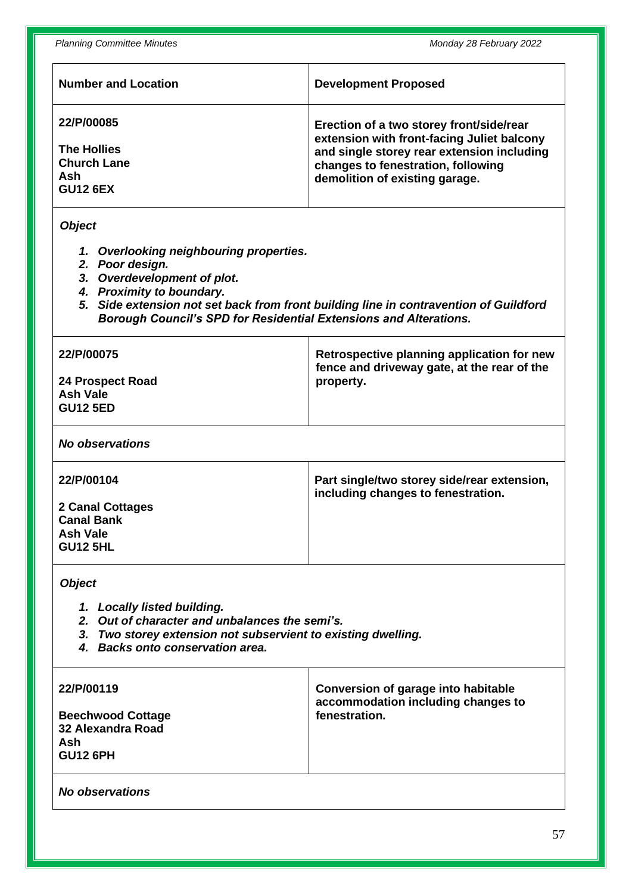| <b>Number and Location</b>                                                                                                                                                                                                                                                                            | <b>Development Proposed</b>                                                                                                                                                                                  |  |
|-------------------------------------------------------------------------------------------------------------------------------------------------------------------------------------------------------------------------------------------------------------------------------------------------------|--------------------------------------------------------------------------------------------------------------------------------------------------------------------------------------------------------------|--|
| 22/P/00085<br><b>The Hollies</b><br><b>Church Lane</b><br>Ash<br><b>GU12 6EX</b>                                                                                                                                                                                                                      | Erection of a two storey front/side/rear<br>extension with front-facing Juliet balcony<br>and single storey rear extension including<br>changes to fenestration, following<br>demolition of existing garage. |  |
| <b>Object</b><br>1. Overlooking neighbouring properties.<br>2. Poor design.<br>3. Overdevelopment of plot.<br>4. Proximity to boundary.<br>5. Side extension not set back from front building line in contravention of Guildford<br>Borough Council's SPD for Residential Extensions and Alterations. |                                                                                                                                                                                                              |  |
| 22/P/00075<br><b>24 Prospect Road</b><br><b>Ash Vale</b><br><b>GU12 5ED</b>                                                                                                                                                                                                                           | Retrospective planning application for new<br>fence and driveway gate, at the rear of the<br>property.                                                                                                       |  |
| <b>No observations</b>                                                                                                                                                                                                                                                                                |                                                                                                                                                                                                              |  |
| 22/P/00104<br><b>2 Canal Cottages</b><br><b>Canal Bank</b><br><b>Ash Vale</b><br><b>GU12 5HL</b>                                                                                                                                                                                                      | Part single/two storey side/rear extension,<br>including changes to fenestration.                                                                                                                            |  |
| <b>Object</b><br>1. Locally listed building.<br>2. Out of character and unbalances the semi's.<br>3. Two storey extension not subservient to existing dwelling.<br>4. Backs onto conservation area.<br>22/P/00119<br><b>Conversion of garage into habitable</b>                                       |                                                                                                                                                                                                              |  |
| <b>Beechwood Cottage</b><br><b>32 Alexandra Road</b><br>Ash<br><b>GU12 6PH</b>                                                                                                                                                                                                                        | accommodation including changes to<br>fenestration.                                                                                                                                                          |  |
| <b>No observations</b>                                                                                                                                                                                                                                                                                |                                                                                                                                                                                                              |  |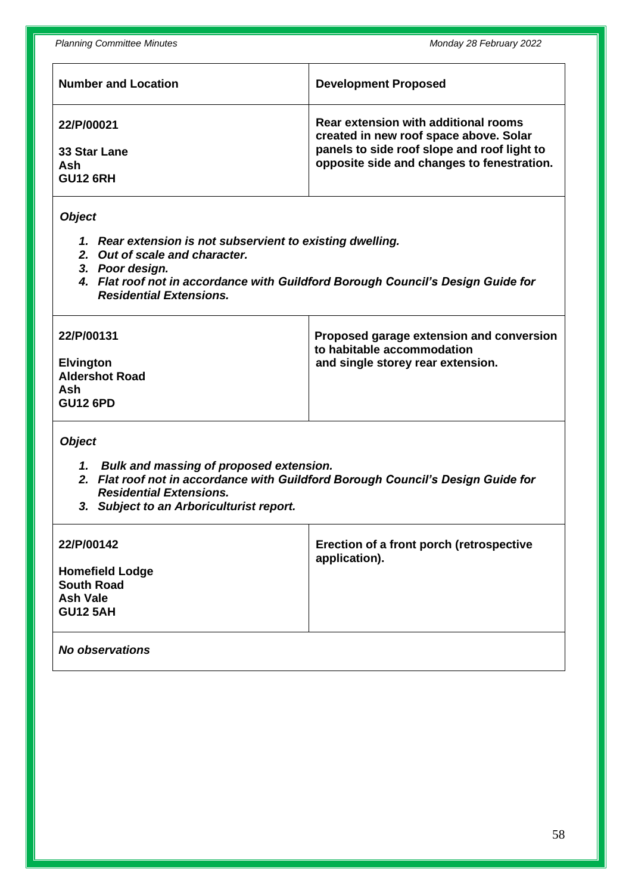| <b>Number and Location</b> | <b>Development Proposed</b>                 |
|----------------------------|---------------------------------------------|
| 22/P/00021                 | Rear extension with additional rooms        |
| 33 Star Lane               | created in new roof space above. Solar      |
| Ash                        | panels to side roof slope and roof light to |
| <b>GU12 6RH</b>            | opposite side and changes to fenestration.  |

#### *Object*

- *1. Rear extension is not subservient to existing dwelling.*
- *2. Out of scale and character.*
- *3. Poor design.*
- *4. Flat roof not in accordance with Guildford Borough Council's Design Guide for Residential Extensions.*

| 22/P/00131                                                          | Proposed garage extension and conversion<br>to habitable accommodation |
|---------------------------------------------------------------------|------------------------------------------------------------------------|
| <b>Elvington</b><br><b>Aldershot Road</b><br>Ash<br><b>GU12 6PD</b> | and single storey rear extension.                                      |

*Object*

- *1. Bulk and massing of proposed extension.*
- *2. Flat roof not in accordance with Guildford Borough Council's Design Guide for Residential Extensions.*
- *3. Subject to an Arboriculturist report.*

| <b>Homefield Lodge</b><br><b>South Road</b><br>Ash Vale<br><b>GU12 5AH</b> | Erection of a front porch (retrospective<br>application). |
|----------------------------------------------------------------------------|-----------------------------------------------------------|
| No observations                                                            |                                                           |